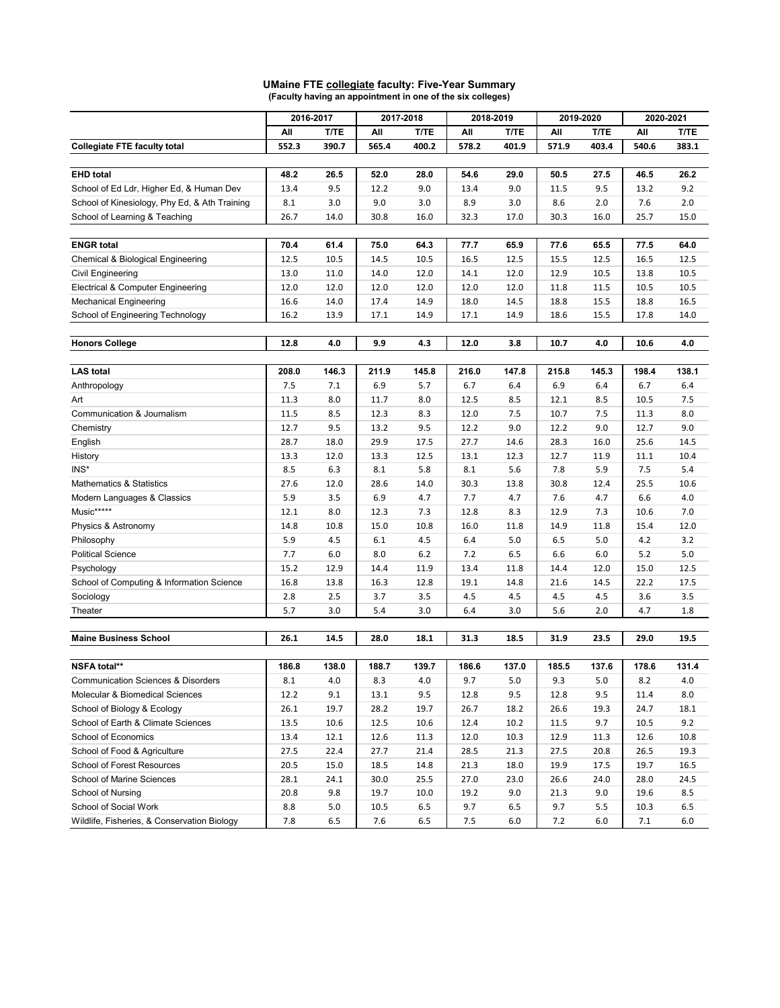|                                               | 2016-2017 |         | 2017-2018 |             | 2018-2019 |             | 2019-2020 |       | 2020-2021 |             |
|-----------------------------------------------|-----------|---------|-----------|-------------|-----------|-------------|-----------|-------|-----------|-------------|
|                                               | All       | T/TE    | All       | <b>T/TE</b> | All       | <b>T/TE</b> | All       | T/TE  | All       | <b>T/TE</b> |
| <b>Collegiate FTE faculty total</b>           | 552.3     | 390.7   | 565.4     | 400.2       | 578.2     | 401.9       | 571.9     | 403.4 | 540.6     | 383.1       |
|                                               |           |         |           |             |           |             |           |       |           |             |
| <b>EHD</b> total                              | 48.2      | 26.5    | 52.0      | 28.0        | 54.6      | 29.0        | 50.5      | 27.5  | 46.5      | 26.2        |
| School of Ed Ldr, Higher Ed, & Human Dev      | 13.4      | 9.5     | 12.2      | 9.0         | 13.4      | 9.0         | 11.5      | 9.5   | 13.2      | 9.2         |
| School of Kinesiology, Phy Ed, & Ath Training | 8.1       | 3.0     | 9.0       | 3.0         | 8.9       | 3.0         | 8.6       | 2.0   | 7.6       | 2.0         |
| School of Learning & Teaching                 | 26.7      | 14.0    | 30.8      | 16.0        | 32.3      | 17.0        | 30.3      | 16.0  | 25.7      | 15.0        |
|                                               |           |         |           |             |           |             |           |       |           |             |
| <b>ENGR total</b>                             | 70.4      | 61.4    | 75.0      | 64.3        | 77.7      | 65.9        | 77.6      | 65.5  | 77.5      | 64.0        |
| Chemical & Biological Engineering             | 12.5      | 10.5    | 14.5      | 10.5        | 16.5      | 12.5        | 15.5      | 12.5  | 16.5      | 12.5        |
| Civil Engineering                             | 13.0      | 11.0    | 14.0      | 12.0        | 14.1      | 12.0        | 12.9      | 10.5  | 13.8      | 10.5        |
| Electrical & Computer Engineering             | 12.0      | 12.0    | 12.0      | 12.0        | 12.0      | 12.0        | 11.8      | 11.5  | 10.5      | 10.5        |
| Mechanical Engineering                        | 16.6      | 14.0    | 17.4      | 14.9        | 18.0      | 14.5        | 18.8      | 15.5  | 18.8      | 16.5        |
| School of Engineering Technology              | 16.2      | 13.9    | 17.1      | 14.9        | 17.1      | 14.9        | 18.6      | 15.5  | 17.8      | 14.0        |
|                                               |           |         |           |             |           |             |           |       |           |             |
| <b>Honors College</b>                         | 12.8      | 4.0     | 9.9       | 4.3         | 12.0      | 3.8         | 10.7      | 4.0   | 10.6      | 4.0         |
|                                               |           |         |           |             |           |             |           |       |           |             |
| <b>LAS</b> total                              | 208.0     | 146.3   | 211.9     | 145.8       | 216.0     | 147.8       | 215.8     | 145.3 | 198.4     | 138.1       |
| Anthropology                                  | 7.5       | 7.1     | 6.9       | 5.7         | 6.7       | 6.4         | 6.9       | 6.4   | 6.7       | 6.4         |
| Art                                           | 11.3      | 8.0     | 11.7      | 8.0         | 12.5      | 8.5         | 12.1      | 8.5   | 10.5      | 7.5         |
| Communication & Journalism                    | 11.5      | 8.5     | 12.3      | 8.3         | 12.0      | 7.5         | 10.7      | 7.5   | 11.3      | 8.0         |
| Chemistry                                     | 12.7      | 9.5     | 13.2      | 9.5         | 12.2      | 9.0         | 12.2      | 9.0   | 12.7      | 9.0         |
| English                                       | 28.7      | 18.0    | 29.9      | 17.5        | 27.7      | 14.6        | 28.3      | 16.0  | 25.6      | 14.5        |
| History                                       | 13.3      | 12.0    | 13.3      | 12.5        | 13.1      | 12.3        | 12.7      | 11.9  | 11.1      | 10.4        |
| INS*                                          | 8.5       | 6.3     | 8.1       | 5.8         | 8.1       | 5.6         | 7.8       | 5.9   | 7.5       | 5.4         |
| <b>Mathematics &amp; Statistics</b>           | 27.6      | 12.0    | 28.6      | 14.0        | 30.3      | 13.8        | 30.8      | 12.4  | 25.5      | 10.6        |
| Modern Languages & Classics                   | 5.9       | 3.5     | 6.9       | 4.7         | 7.7       | 4.7         | 7.6       | 4.7   | 6.6       | 4.0         |
| Music*****                                    | 12.1      | 8.0     | 12.3      | 7.3         | 12.8      | 8.3         | 12.9      | 7.3   | 10.6      | 7.0         |
| Physics & Astronomy                           | 14.8      | 10.8    | 15.0      | 10.8        | 16.0      | 11.8        | 14.9      | 11.8  | 15.4      | 12.0        |
| Philosophy                                    | 5.9       | 4.5     | 6.1       | 4.5         | 6.4       | 5.0         | 6.5       | 5.0   | 4.2       | 3.2         |
| <b>Political Science</b>                      | 7.7       | 6.0     | 8.0       | $6.2$       | 7.2       | 6.5         | 6.6       | 6.0   | 5.2       | 5.0         |
| Psychology                                    | 15.2      | 12.9    | 14.4      | 11.9        | 13.4      | 11.8        | 14.4      | 12.0  | 15.0      | 12.5        |
| School of Computing & Information Science     | 16.8      | 13.8    | 16.3      | 12.8        | 19.1      | 14.8        | 21.6      | 14.5  | 22.2      | 17.5        |
| Sociology                                     | 2.8       | 2.5     | 3.7       | 3.5         | 4.5       | 4.5         | 4.5       | 4.5   | 3.6       | 3.5         |
| Theater                                       | 5.7       | 3.0     | 5.4       | 3.0         | 6.4       | 3.0         | 5.6       | 2.0   | 4.7       | 1.8         |
|                                               |           |         |           |             |           |             |           |       |           |             |
| <b>Maine Business School</b>                  | 26.1      | 14.5    | 28.0      | 18.1        | 31.3      | 18.5        | 31.9      | 23.5  | 29.0      | 19.5        |
|                                               |           |         |           |             |           |             |           |       |           |             |
| NSFA total**                                  | 186.8     | 138.0   | 188.7     | 139.7       | 186.6     | 137.0       | 185.5     | 137.6 | 178.6     | 131.4       |
| <b>Communication Sciences &amp; Disorders</b> | 8.1       | 4.0     | 8.3       | 4.0         | 9.7       | 5.0         | 9.3       | 5.0   | 8.2       | 4.0         |
| Molecular & Biomedical Sciences               | 12.2      | 9.1     | 13.1      | 9.5         | 12.8      | 9.5         | 12.8      | 9.5   | 11.4      | 8.0         |
| School of Biology & Ecology                   | 26.1      | 19.7    | 28.2      | 19.7        | 26.7      | 18.2        | 26.6      | 19.3  | 24.7      | 18.1        |
| School of Earth & Climate Sciences            | 13.5      | 10.6    | 12.5      | 10.6        | 12.4      | 10.2        | 11.5      | 9.7   | 10.5      | 9.2         |
| School of Economics                           | 13.4      | 12.1    | 12.6      | 11.3        | 12.0      | 10.3        | 12.9      | 11.3  | 12.6      | 10.8        |
| School of Food & Agriculture                  | 27.5      | 22.4    | 27.7      | 21.4        | 28.5      | 21.3        | 27.5      | 20.8  | 26.5      | 19.3        |
| <b>School of Forest Resources</b>             | 20.5      | 15.0    | 18.5      | 14.8        | 21.3      | 18.0        | 19.9      | 17.5  | 19.7      | 16.5        |
| School of Marine Sciences                     | 28.1      | 24.1    | 30.0      | 25.5        | 27.0      | 23.0        | 26.6      | 24.0  | 28.0      | 24.5        |
| School of Nursing                             | 20.8      | 9.8     | 19.7      | 10.0        | 19.2      | 9.0         | 21.3      | 9.0   | 19.6      | 8.5         |
| School of Social Work                         | 8.8       | $5.0\,$ | 10.5      | 6.5         | 9.7       | 6.5         | 9.7       | 5.5   | 10.3      | 6.5         |
| Wildlife, Fisheries, & Conservation Biology   | 7.8       | 6.5     | 7.6       | 6.5         | 7.5       | 6.0         | 7.2       | 6.0   | $7.1\,$   | $6.0\,$     |

## **UMaine FTE collegiate faculty: Five-Year Summary (Faculty having an appointment in one of the six colleges)**